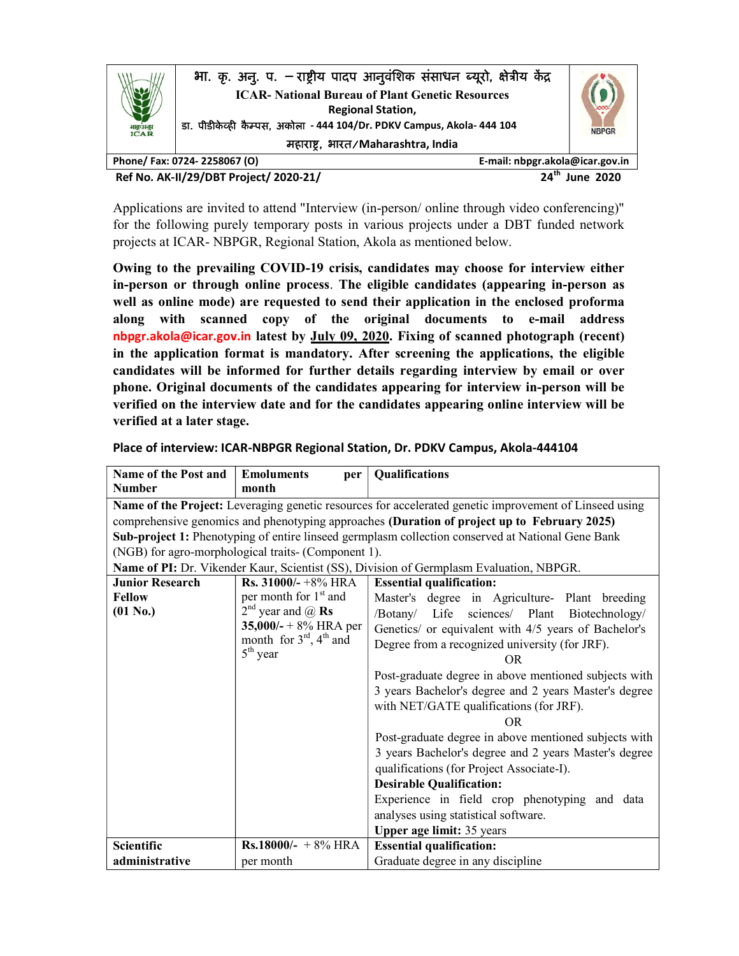

Ref No. AK-II/29/DBT Project/ 2020-21/ 24th June 2020

Applications are invited to attend "Interview (in-person/ online through video conferencing)" for the following purely temporary posts in various projects under a DBT funded network projects at ICAR- NBPGR, Regional Station, Akola as mentioned below.

Owing to the prevailing COVID-19 crisis, candidates may choose for interview either in-person or through online process. The eligible candidates (appearing in-person as well as online mode) are requested to send their application in the enclosed proforma along with scanned copy of the original documents to e-mail address nbpgr.akola@icar.gov.in latest by July 09, 2020. Fixing of scanned photograph (recent) in the application format is mandatory. After screening the applications, the eligible candidates will be informed for further details regarding interview by email or over phone. Original documents of the candidates appearing for interview in-person will be verified on the interview date and for the candidates appearing online interview will be verified at a later stage.

| <b>Name of the Post and</b>                                                                            | <b>Emoluments</b><br>per                              | Qualifications                                                                          |  |  |
|--------------------------------------------------------------------------------------------------------|-------------------------------------------------------|-----------------------------------------------------------------------------------------|--|--|
| <b>Number</b>                                                                                          | month                                                 |                                                                                         |  |  |
| Name of the Project: Leveraging genetic resources for accelerated genetic improvement of Linseed using |                                                       |                                                                                         |  |  |
| comprehensive genomics and phenotyping approaches (Duration of project up to February 2025)            |                                                       |                                                                                         |  |  |
| Sub-project 1: Phenotyping of entire linseed germplasm collection conserved at National Gene Bank      |                                                       |                                                                                         |  |  |
| (NGB) for agro-morphological traits- (Component 1).                                                    |                                                       |                                                                                         |  |  |
|                                                                                                        |                                                       | Name of PI: Dr. Vikender Kaur, Scientist (SS), Division of Germplasm Evaluation, NBPGR. |  |  |
| <b>Junior Research</b>                                                                                 | <b>Rs.</b> 31000/- $+8\%$ HRA                         | <b>Essential qualification:</b>                                                         |  |  |
| <b>Fellow</b>                                                                                          | per month for $1st$ and                               | Master's degree in Agriculture- Plant breeding                                          |  |  |
| $(01 N_0.)$                                                                                            | $2^{nd}$ year and $\omega$ Rs                         | Life sciences/ Plant<br>/Botany/<br>Biotechnology/                                      |  |  |
|                                                                                                        | 35,000/- + $8\%$ HRA per                              | Genetics/ or equivalent with 4/5 years of Bachelor's                                    |  |  |
|                                                                                                        | month for $3^{\text{rd}}$ , $4^{\text{th}}$ and       | Degree from a recognized university (for JRF).                                          |  |  |
|                                                                                                        | $5th$ year                                            | OR.                                                                                     |  |  |
|                                                                                                        |                                                       | Post-graduate degree in above mentioned subjects with                                   |  |  |
|                                                                                                        | 3 years Bachelor's degree and 2 years Master's degree |                                                                                         |  |  |
|                                                                                                        | with NET/GATE qualifications (for JRF).               |                                                                                         |  |  |
|                                                                                                        |                                                       | OR.                                                                                     |  |  |
|                                                                                                        |                                                       | Post-graduate degree in above mentioned subjects with                                   |  |  |
|                                                                                                        |                                                       | 3 years Bachelor's degree and 2 years Master's degree                                   |  |  |
|                                                                                                        |                                                       | qualifications (for Project Associate-I).                                               |  |  |
|                                                                                                        |                                                       | <b>Desirable Qualification:</b>                                                         |  |  |
|                                                                                                        |                                                       | Experience in field crop phenotyping and data                                           |  |  |
|                                                                                                        |                                                       | analyses using statistical software.                                                    |  |  |
|                                                                                                        |                                                       | <b>Upper age limit: 35 years</b>                                                        |  |  |
| <b>Scientific</b>                                                                                      | <b>Rs.18000/-</b> + 8% HRA                            | <b>Essential qualification:</b>                                                         |  |  |
| administrative                                                                                         | per month                                             | Graduate degree in any discipline                                                       |  |  |

Place of interview: ICAR-NBPGR Regional Station, Dr. PDKV Campus, Akola-444104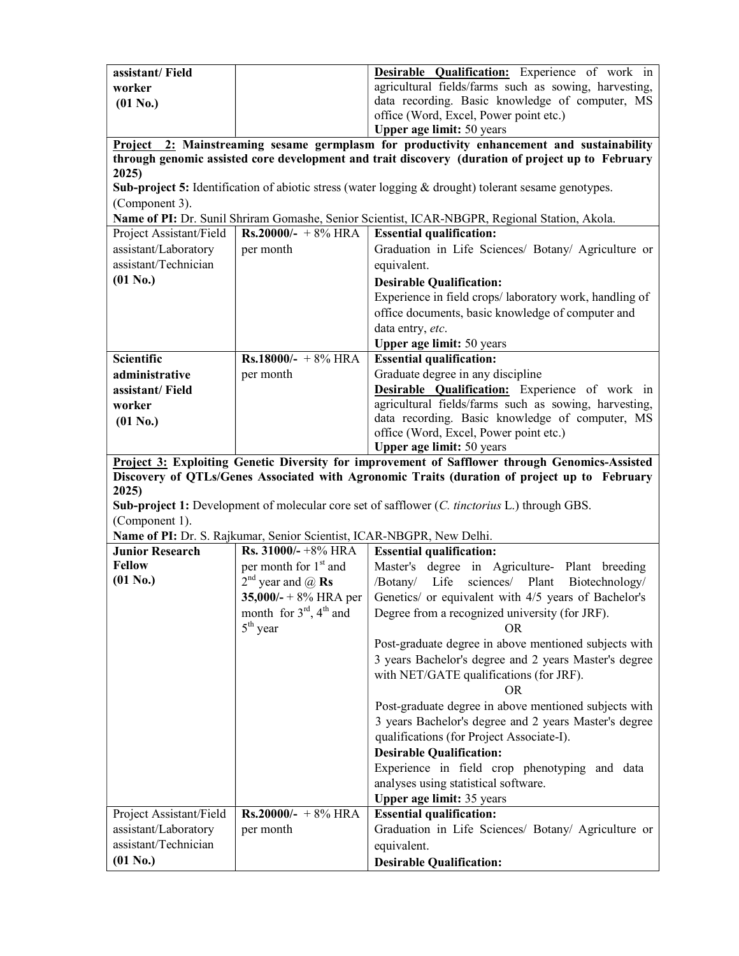| assistant/Field                                                                                                                                                                                |                                                                                                        | Desirable Qualification: Experience of work in                                                       |  |  |
|------------------------------------------------------------------------------------------------------------------------------------------------------------------------------------------------|--------------------------------------------------------------------------------------------------------|------------------------------------------------------------------------------------------------------|--|--|
| worker                                                                                                                                                                                         |                                                                                                        | agricultural fields/farms such as sowing, harvesting,                                                |  |  |
| $(01 N_0.)$                                                                                                                                                                                    |                                                                                                        | data recording. Basic knowledge of computer, MS                                                      |  |  |
|                                                                                                                                                                                                |                                                                                                        | office (Word, Excel, Power point etc.)                                                               |  |  |
|                                                                                                                                                                                                |                                                                                                        | Upper age limit: 50 years                                                                            |  |  |
| Project 2: Mainstreaming sesame germplasm for productivity enhancement and sustainability<br>through genomic assisted core development and trait discovery (duration of project up to February |                                                                                                        |                                                                                                      |  |  |
| 2025)                                                                                                                                                                                          |                                                                                                        |                                                                                                      |  |  |
|                                                                                                                                                                                                |                                                                                                        | Sub-project 5: Identification of abiotic stress (water logging & drought) tolerant sesame genotypes. |  |  |
| (Component 3).                                                                                                                                                                                 |                                                                                                        |                                                                                                      |  |  |
|                                                                                                                                                                                                |                                                                                                        | Name of PI: Dr. Sunil Shriram Gomashe, Senior Scientist, ICAR-NBGPR, Regional Station, Akola.        |  |  |
| Project Assistant/Field                                                                                                                                                                        | <b>Rs.20000/-</b> +8% HRA                                                                              | <b>Essential qualification:</b>                                                                      |  |  |
| assistant/Laboratory                                                                                                                                                                           | per month                                                                                              | Graduation in Life Sciences/ Botany/ Agriculture or                                                  |  |  |
| assistant/Technician                                                                                                                                                                           |                                                                                                        | equivalent.                                                                                          |  |  |
| $(01 N_0.)$                                                                                                                                                                                    |                                                                                                        | <b>Desirable Qualification:</b>                                                                      |  |  |
|                                                                                                                                                                                                |                                                                                                        | Experience in field crops/laboratory work, handling of                                               |  |  |
|                                                                                                                                                                                                |                                                                                                        | office documents, basic knowledge of computer and                                                    |  |  |
|                                                                                                                                                                                                |                                                                                                        | data entry, etc.                                                                                     |  |  |
|                                                                                                                                                                                                |                                                                                                        | <b>Upper age limit: 50 years</b>                                                                     |  |  |
| <b>Scientific</b>                                                                                                                                                                              | Rs.18000/- + $8\%$ HRA                                                                                 | <b>Essential qualification:</b>                                                                      |  |  |
| administrative                                                                                                                                                                                 | per month                                                                                              | Graduate degree in any discipline                                                                    |  |  |
| assistant/Field                                                                                                                                                                                |                                                                                                        | Desirable Qualification: Experience of work in                                                       |  |  |
| worker                                                                                                                                                                                         |                                                                                                        | agricultural fields/farms such as sowing, harvesting,                                                |  |  |
| $(01 N_0.)$                                                                                                                                                                                    |                                                                                                        | data recording. Basic knowledge of computer, MS                                                      |  |  |
|                                                                                                                                                                                                |                                                                                                        | office (Word, Excel, Power point etc.)                                                               |  |  |
|                                                                                                                                                                                                |                                                                                                        | <b>Upper age limit: 50 years</b>                                                                     |  |  |
|                                                                                                                                                                                                |                                                                                                        | Project 3: Exploiting Genetic Diversity for improvement of Safflower through Genomics-Assisted       |  |  |
| Discovery of QTLs/Genes Associated with Agronomic Traits (duration of project up to February<br>2025)                                                                                          |                                                                                                        |                                                                                                      |  |  |
| <b>Sub-project 1:</b> Development of molecular core set of safflower (C. tinctorius L.) through GBS.                                                                                           |                                                                                                        |                                                                                                      |  |  |
|                                                                                                                                                                                                |                                                                                                        |                                                                                                      |  |  |
|                                                                                                                                                                                                |                                                                                                        |                                                                                                      |  |  |
| (Component 1).                                                                                                                                                                                 |                                                                                                        |                                                                                                      |  |  |
| <b>Junior Research</b>                                                                                                                                                                         | Name of PI: Dr. S. Rajkumar, Senior Scientist, ICAR-NBGPR, New Delhi.<br><b>Rs. 31000/-</b> $+8\%$ HRA | <b>Essential qualification:</b>                                                                      |  |  |
| <b>Fellow</b>                                                                                                                                                                                  | per month for 1 <sup>st</sup> and                                                                      | Master's degree in Agriculture- Plant breeding                                                       |  |  |
| $(01 N_0.)$                                                                                                                                                                                    | $2^{nd}$ year and $@$ Rs                                                                               | /Botany/ Life<br>sciences/ Plant<br>Biotechnology/                                                   |  |  |
|                                                                                                                                                                                                | $35,000/- + 8\%$ HRA per                                                                               | Genetics/ or equivalent with 4/5 years of Bachelor's                                                 |  |  |
|                                                                                                                                                                                                | month for $3^{\text{rd}}$ , $4^{\text{th}}$ and                                                        | Degree from a recognized university (for JRF).                                                       |  |  |
|                                                                                                                                                                                                | $5th$ year                                                                                             |                                                                                                      |  |  |
|                                                                                                                                                                                                |                                                                                                        | Post-graduate degree in above mentioned subjects with                                                |  |  |
|                                                                                                                                                                                                |                                                                                                        | 3 years Bachelor's degree and 2 years Master's degree                                                |  |  |
|                                                                                                                                                                                                |                                                                                                        | with NET/GATE qualifications (for JRF).                                                              |  |  |
|                                                                                                                                                                                                |                                                                                                        | <b>OR</b>                                                                                            |  |  |
|                                                                                                                                                                                                |                                                                                                        | Post-graduate degree in above mentioned subjects with                                                |  |  |
|                                                                                                                                                                                                |                                                                                                        | 3 years Bachelor's degree and 2 years Master's degree                                                |  |  |
|                                                                                                                                                                                                |                                                                                                        | qualifications (for Project Associate-I).                                                            |  |  |
|                                                                                                                                                                                                |                                                                                                        | <b>Desirable Qualification:</b>                                                                      |  |  |
|                                                                                                                                                                                                |                                                                                                        | Experience in field crop phenotyping and data                                                        |  |  |
|                                                                                                                                                                                                |                                                                                                        | analyses using statistical software.                                                                 |  |  |
|                                                                                                                                                                                                |                                                                                                        | Upper age limit: 35 years                                                                            |  |  |
| Project Assistant/Field                                                                                                                                                                        | $Rs.20000/- + 8\%$ HRA                                                                                 | <b>Essential qualification:</b>                                                                      |  |  |
| assistant/Laboratory                                                                                                                                                                           | per month                                                                                              | Graduation in Life Sciences/ Botany/ Agriculture or                                                  |  |  |
| assistant/Technician<br>$(01 N_0.)$                                                                                                                                                            |                                                                                                        | equivalent.<br><b>Desirable Qualification:</b>                                                       |  |  |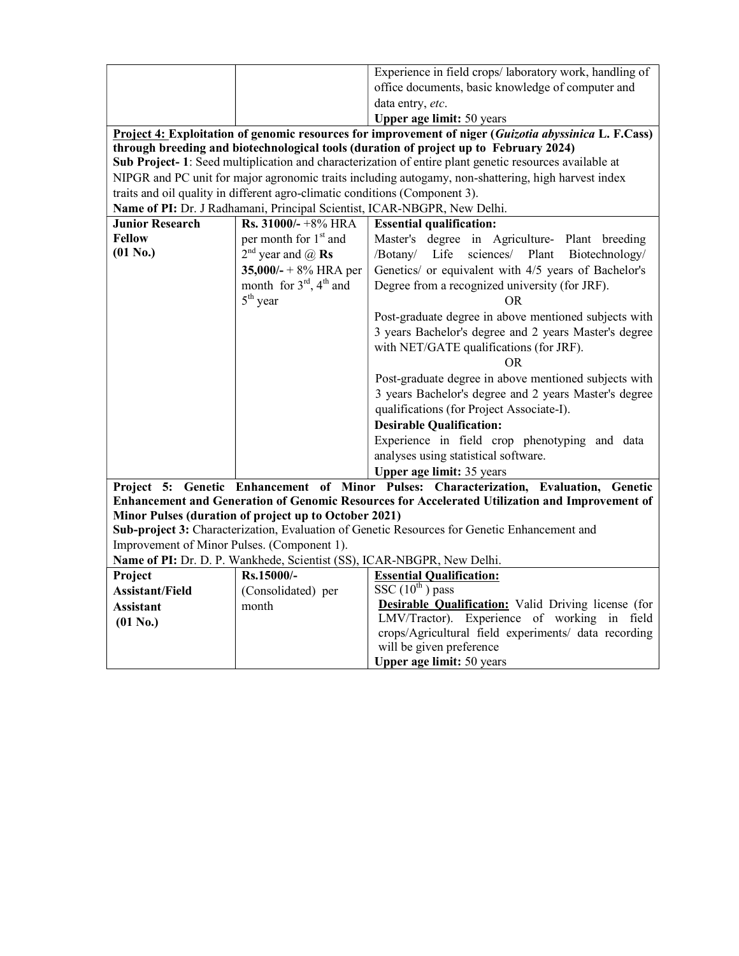|                                                                                                       |                                                                                                         | Experience in field crops/laboratory work, handling of                                         |  |  |  |  |
|-------------------------------------------------------------------------------------------------------|---------------------------------------------------------------------------------------------------------|------------------------------------------------------------------------------------------------|--|--|--|--|
|                                                                                                       |                                                                                                         | office documents, basic knowledge of computer and                                              |  |  |  |  |
|                                                                                                       |                                                                                                         | data entry, etc.                                                                               |  |  |  |  |
|                                                                                                       |                                                                                                         | <b>Upper age limit: 50 years</b>                                                               |  |  |  |  |
| Project 4: Exploitation of genomic resources for improvement of niger (Guizotia abyssinica L. F.Cass) |                                                                                                         |                                                                                                |  |  |  |  |
|                                                                                                       |                                                                                                         | through breeding and biotechnological tools (duration of project up to February 2024)          |  |  |  |  |
|                                                                                                       | Sub Project- 1: Seed multiplication and characterization of entire plant genetic resources available at |                                                                                                |  |  |  |  |
| NIPGR and PC unit for major agronomic traits including autogamy, non-shattering, high harvest index   |                                                                                                         |                                                                                                |  |  |  |  |
|                                                                                                       | traits and oil quality in different agro-climatic conditions (Component 3).                             |                                                                                                |  |  |  |  |
|                                                                                                       |                                                                                                         | Name of PI: Dr. J Radhamani, Principal Scientist, ICAR-NBGPR, New Delhi.                       |  |  |  |  |
| <b>Junior Research</b>                                                                                | Rs. $31000/- +8\%$ HRA                                                                                  | <b>Essential qualification:</b>                                                                |  |  |  |  |
| Fellow                                                                                                | per month for 1 <sup>st</sup> and                                                                       | Master's degree in Agriculture- Plant breeding                                                 |  |  |  |  |
| $(01$ No.)                                                                                            | $2^{nd}$ year and $\omega$ Rs                                                                           | sciences/ Plant<br>/Botany/ Life<br>Biotechnology/                                             |  |  |  |  |
|                                                                                                       | 35,000/- + $8\%$ HRA per                                                                                | Genetics/ or equivalent with 4/5 years of Bachelor's                                           |  |  |  |  |
|                                                                                                       | month for $3^{rd}$ , $4^{th}$ and                                                                       | Degree from a recognized university (for JRF).                                                 |  |  |  |  |
|                                                                                                       | $5th$ year                                                                                              | OR.                                                                                            |  |  |  |  |
|                                                                                                       |                                                                                                         | Post-graduate degree in above mentioned subjects with                                          |  |  |  |  |
|                                                                                                       |                                                                                                         | 3 years Bachelor's degree and 2 years Master's degree                                          |  |  |  |  |
|                                                                                                       |                                                                                                         | with NET/GATE qualifications (for JRF).                                                        |  |  |  |  |
|                                                                                                       |                                                                                                         | OR.                                                                                            |  |  |  |  |
|                                                                                                       |                                                                                                         | Post-graduate degree in above mentioned subjects with                                          |  |  |  |  |
|                                                                                                       | 3 years Bachelor's degree and 2 years Master's degree                                                   |                                                                                                |  |  |  |  |
|                                                                                                       | qualifications (for Project Associate-I).                                                               |                                                                                                |  |  |  |  |
|                                                                                                       |                                                                                                         | <b>Desirable Qualification:</b>                                                                |  |  |  |  |
|                                                                                                       |                                                                                                         | Experience in field crop phenotyping and data                                                  |  |  |  |  |
|                                                                                                       |                                                                                                         | analyses using statistical software.                                                           |  |  |  |  |
|                                                                                                       |                                                                                                         | Upper age limit: 35 years                                                                      |  |  |  |  |
| Project 5:                                                                                            |                                                                                                         | Genetic Enhancement of Minor Pulses: Characterization, Evaluation, Genetic                     |  |  |  |  |
|                                                                                                       |                                                                                                         | Enhancement and Generation of Genomic Resources for Accelerated Utilization and Improvement of |  |  |  |  |
|                                                                                                       | Minor Pulses (duration of project up to October 2021)                                                   |                                                                                                |  |  |  |  |
|                                                                                                       |                                                                                                         | Sub-project 3: Characterization, Evaluation of Genetic Resources for Genetic Enhancement and   |  |  |  |  |
| Improvement of Minor Pulses. (Component 1).                                                           |                                                                                                         |                                                                                                |  |  |  |  |
| Name of PI: Dr. D. P. Wankhede, Scientist (SS), ICAR-NBGPR, New Delhi.                                |                                                                                                         |                                                                                                |  |  |  |  |
| Project<br><b>Assistant/Field</b>                                                                     | Rs.15000/-<br>(Consolidated) per                                                                        | <b>Essential Qualification:</b><br>$SSC(10^{th})$ pass                                         |  |  |  |  |
|                                                                                                       | month                                                                                                   | Desirable Qualification: Valid Driving license (for                                            |  |  |  |  |
| Assistant<br>$(01 N_0.)$                                                                              |                                                                                                         | LMV/Tractor). Experience of working in field                                                   |  |  |  |  |
|                                                                                                       |                                                                                                         | crops/Agricultural field experiments/ data recording                                           |  |  |  |  |
|                                                                                                       |                                                                                                         | will be given preference                                                                       |  |  |  |  |
|                                                                                                       |                                                                                                         | <b>Upper age limit: 50 years</b>                                                               |  |  |  |  |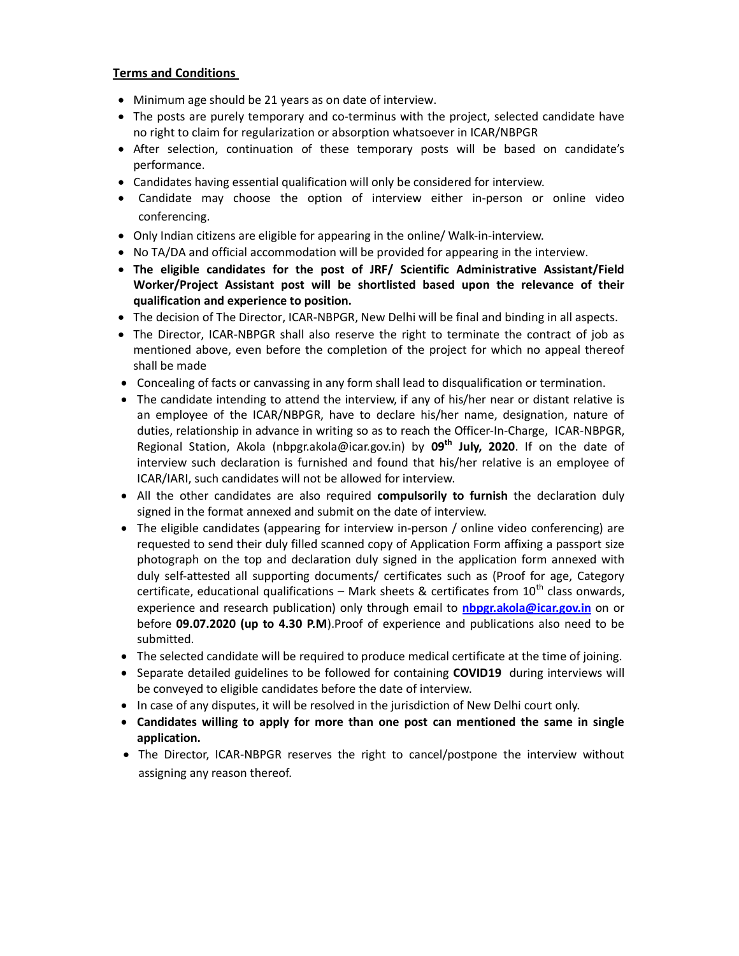### Terms and Conditions

- Minimum age should be 21 years as on date of interview.
- The posts are purely temporary and co-terminus with the project, selected candidate have no right to claim for regularization or absorption whatsoever in ICAR/NBPGR
- After selection, continuation of these temporary posts will be based on candidate's performance.
- Candidates having essential qualification will only be considered for interview.
- Candidate may choose the option of interview either in-person or online video conferencing.
- Only Indian citizens are eligible for appearing in the online/ Walk-in-interview.
- No TA/DA and official accommodation will be provided for appearing in the interview.
- The eligible candidates for the post of JRF/ Scientific Administrative Assistant/Field Worker/Project Assistant post will be shortlisted based upon the relevance of their qualification and experience to position.
- The decision of The Director, ICAR-NBPGR, New Delhi will be final and binding in all aspects.
- The Director, ICAR-NBPGR shall also reserve the right to terminate the contract of job as mentioned above, even before the completion of the project for which no appeal thereof shall be made
- Concealing of facts or canvassing in any form shall lead to disqualification or termination.
- The candidate intending to attend the interview, if any of his/her near or distant relative is an employee of the ICAR/NBPGR, have to declare his/her name, designation, nature of duties, relationship in advance in writing so as to reach the Officer-In-Charge, ICAR-NBPGR, Regional Station, Akola (nbpgr.akola@icar.gov.in) by  $09<sup>th</sup>$  July, 2020. If on the date of interview such declaration is furnished and found that his/her relative is an employee of ICAR/IARI, such candidates will not be allowed for interview.
- All the other candidates are also required compulsorily to furnish the declaration duly signed in the format annexed and submit on the date of interview.
- The eligible candidates (appearing for interview in-person / online video conferencing) are requested to send their duly filled scanned copy of Application Form affixing a passport size photograph on the top and declaration duly signed in the application form annexed with duly self-attested all supporting documents/ certificates such as (Proof for age, Category certificate, educational qualifications – Mark sheets & certificates from  $10^{th}$  class onwards, experience and research publication) only through email to nbpgr.akola@icar.gov.in on or before 09.07.2020 (up to 4.30 P.M). Proof of experience and publications also need to be submitted.
- The selected candidate will be required to produce medical certificate at the time of joining.
- Separate detailed guidelines to be followed for containing COVID19 during interviews will be conveyed to eligible candidates before the date of interview.
- In case of any disputes, it will be resolved in the jurisdiction of New Delhi court only.
- Candidates willing to apply for more than one post can mentioned the same in single application.
- The Director, ICAR-NBPGR reserves the right to cancel/postpone the interview without assigning any reason thereof.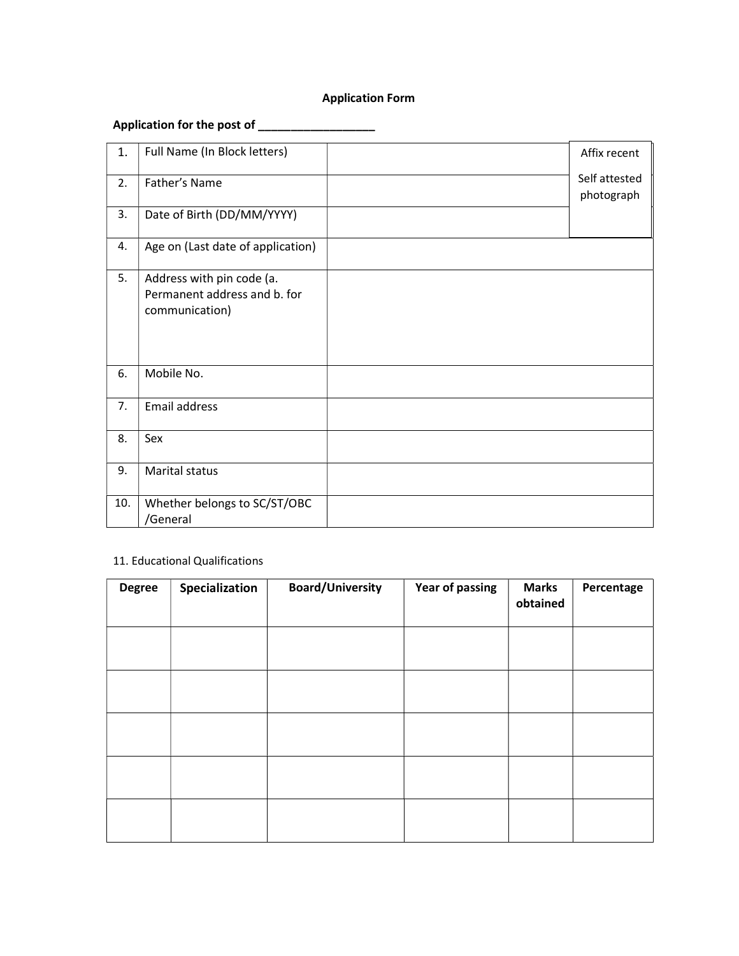## Application Form

# Application for the post of \_\_\_\_\_\_\_\_\_\_\_\_\_\_\_\_\_\_

| 1.  | Full Name (In Block letters)                                                | Affix recent                |
|-----|-----------------------------------------------------------------------------|-----------------------------|
| 2.  | Father's Name                                                               | Self attested<br>photograph |
| 3.  | Date of Birth (DD/MM/YYYY)                                                  |                             |
| 4.  | Age on (Last date of application)                                           |                             |
| 5.  | Address with pin code (a.<br>Permanent address and b. for<br>communication) |                             |
| 6.  | Mobile No.                                                                  |                             |
| 7.  | Email address                                                               |                             |
| 8.  | Sex                                                                         |                             |
| 9.  | Marital status                                                              |                             |
| 10. | Whether belongs to SC/ST/OBC<br>/General                                    |                             |

### 11. Educational Qualifications

| <b>Degree</b> | Specialization | <b>Board/University</b> | <b>Year of passing</b> | <b>Marks</b><br>obtained | Percentage |
|---------------|----------------|-------------------------|------------------------|--------------------------|------------|
|               |                |                         |                        |                          |            |
|               |                |                         |                        |                          |            |
|               |                |                         |                        |                          |            |
|               |                |                         |                        |                          |            |
|               |                |                         |                        |                          |            |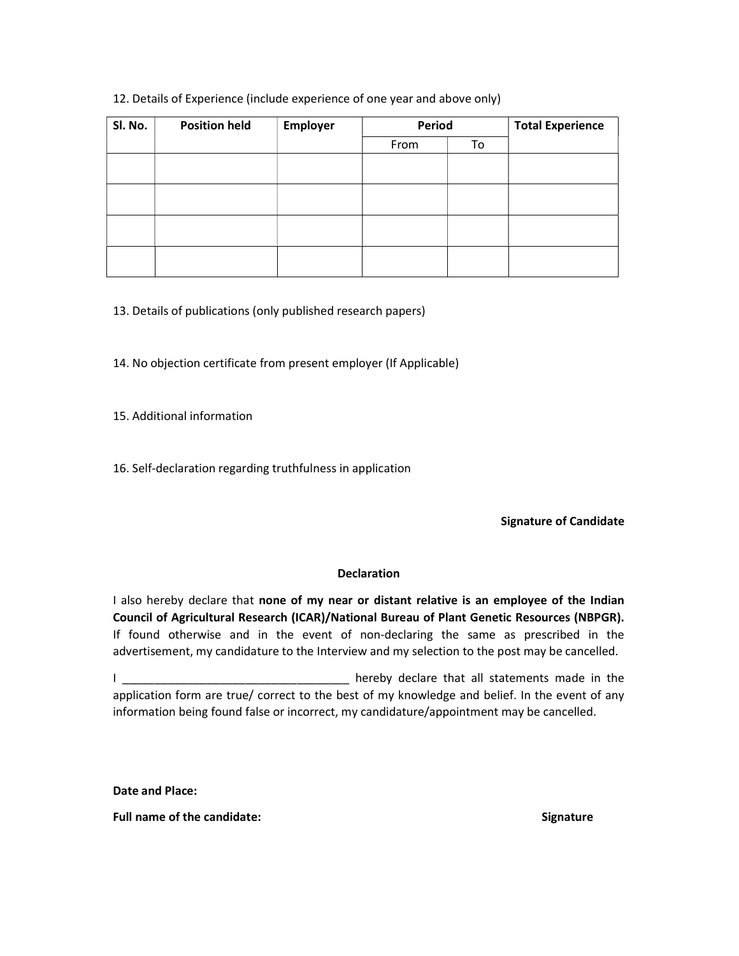### 12. Details of Experience (include experience of one year and above only)

| SI. No. | <b>Position held</b> | Employer | Period |    | <b>Total Experience</b> |
|---------|----------------------|----------|--------|----|-------------------------|
|         |                      |          | From   | To |                         |
|         |                      |          |        |    |                         |
|         |                      |          |        |    |                         |
|         |                      |          |        |    |                         |
|         |                      |          |        |    |                         |
|         |                      |          |        |    |                         |
|         |                      |          |        |    |                         |
|         |                      |          |        |    |                         |
|         |                      |          |        |    |                         |

13. Details of publications (only published research papers)

14. No objection certificate from present employer (If Applicable)

15. Additional information

16. Self-declaration regarding truthfulness in application

Signature of Candidate

#### **Declaration**

I also hereby declare that none of my near or distant relative is an employee of the Indian Council of Agricultural Research (ICAR)/National Bureau of Plant Genetic Resources (NBPGR). If found otherwise and in the event of non-declaring the same as prescribed in the advertisement, my candidature to the Interview and my selection to the post may be cancelled.

I \_\_\_\_\_\_\_\_\_\_\_\_\_\_\_\_\_\_\_\_\_\_\_\_\_\_\_\_\_\_\_\_\_\_ hereby declare that all statements made in the application form are true/ correct to the best of my knowledge and belief. In the event of any information being found false or incorrect, my candidature/appointment may be cancelled.

Date and Place:

Full name of the candidate: Signature Signature